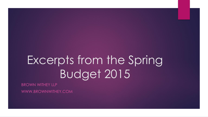# Excerpts from the Spring Budget 2015

BROWN WITHEY LLP

WWW.BROWNWITHEY.COM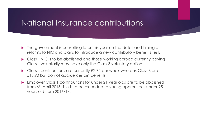## National Insurance contributions

- The government is consulting later this year on the detail and timing of reforms to NIC and plans to introduce a new contributory benefits test.
- ▶ Class II NIC is to be abolished and those working abroad currently paying Class II voluntarily may have only the Class 3 voluntary option.
- Class II contributions are currently £2.75 per week whereas Class 3 are £13.90 but do not accrue certain benefits
- Employer Class 1 contributions for under 21 year olds are to be abolished from  $6<sup>th</sup>$  April 2015. This is to be extended to young apprentices under 25 years old from 2016/17.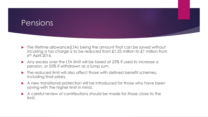#### Pensions

- ▶ The lifetime allowance(LTA) being the amount that can be saved without incurring a tax charge is to be reduced from £1.25 million to £1 million from 6 th April 2016.
- Any excess over the LTA limit will be taxed at 25% if used to increase a pension, or 55% if withdrawn as a lump sum.
- $\blacktriangleright$  The reduced limit will also affect those with defined benefit schemes, including final salary.
- A new transitional protection will be introduced for those who have been saving with the higher limit in mind.
- A careful review of contributions should be made for those close to the limit.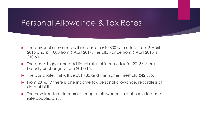#### Personal Allowance & Tax Rates

- ▶ The personal allowance will increase to £10,800 with effect from 6 April 2016 and £11,000 from 6 April 2017. The allowance from 6 April 2015 is £10,600.
- ▶ The basic, higher and additional rates of income tax for 2015/16 are broadly unchanged from 2014/15.
- ▶ The basic rate limit will be £31,785 and the higher threshold £42,385.
- From 2016/17 there is one income tax personal allowance, regardless of date of birth.
- $\blacktriangleright$  The new transferable married couples allowance is applicable to basic rate couples only.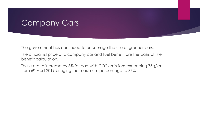# Company Cars

The government has continued to encourage the use of greener cars.

The official list price of a company car and fuel benefit are the basis of the benefit calculation.

These are to increase by 3% for cars with CO2 emissions exceeding 75g/km from 6<sup>th</sup> April 2019 bringing the maximum percentage to 37%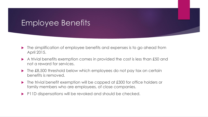## Employee Benefits

- $\blacktriangleright$  The simplification of employee benefits and expenses is to go ahead from April 2015.
- A trivial benefits exemption comes in provided the cost is less than £50 and not a reward for services.
- ▶ The £8,500 threshold below which employees do not pay tax on certain benefits is removed.
- ▶ The trivial benefit exemption will be capped at £300 for office holders or family members who are employees, of close companies.
- P11D dispensations will be revoked and should be checked.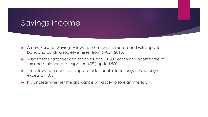## Savings income

- A new Personal Savings Allowance has been created and will apply to bank and building society interest from 6 April 2016.
- A basic rate taxpayer can receive up to £1,000 of savings income free of tax and a higher rate taxpayer (40%) up to £500.
- $\blacktriangleright$  The allowance does not apply to additional rate taxpayers who pay in excess of 40%
- It is unclear whether the allowance will apply to foreign interest.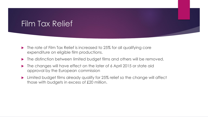## Film Tax Relief

- ▶ The rate of Film Tax Relief is increased to 25% for all qualifying core expenditure on eligible film productions.
- ▶ The distinction between limited budget films and others will be removed.
- The changes will have effect on the later of 6 April 2015 or state aid approval by the European commission
- **Limited budget films already qualify for 25% relief so the change will affect** those with budgets in excess of £20 million.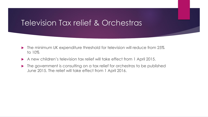## Television Tax relief & Orchestras

- ▶ The minimum UK expenditure threshold for television will reduce from 25% to 10%
- A new children's television tax relief will take effect from 1 April 2015.
- ▶ The government is consulting on a tax relief for orchestras to be published June 2015. The relief will take effect from 1 April 2016.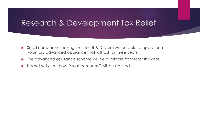#### Research & Development Tax Relief

- ▶ Small companies making their first R & D claim will be able to apply for a voluntary advanced assurance that will last for three years.
- $\blacktriangleright$  The advanced assurance scheme will be available from later this year.
- It is not yet clear how "small company" will be defined.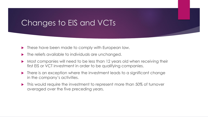## Changes to EIS and VCTs

- $\blacktriangleright$  These have been made to comply with European law.
- The reliefs available to individuals are unchanged.
- $\blacktriangleright$  Most companies will need to be less than 12 years old when receiving their first EIS or VCT investment in order to be qualifying companies.
- ▶ There is an exception where the investment leads to a significant change in the company's activities.
- **This would require the investment to represent more than 50% of turnover** averaged over the five preceding years.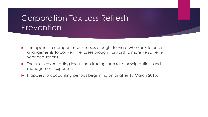## Corporation Tax Loss Refresh Prevention

- $\blacktriangleright$  This applies to companies with losses brought forward who seek to enter arrangements to convert the losses brought forward to more versatile inyear deductions.
- ▶ The rules cover trading losses, non trading loan relationship deficits and management expenses.
- It applies to accounting periods beginning on or after 18 March 2015.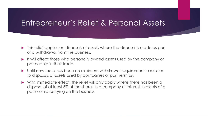#### Entrepreneur's Relief & Personal Assets

- $\blacktriangleright$  This relief applies on disposals of assets where the disposal is made as part of a withdrawal from the business.
- It will affect those who personally owned assets used by the company or partnership in their trade.
- Until now there has been no minimum withdrawal requirement in relation to disposals of assets used by companies or partnerships.
- With immediate effect, the relief will only apply where there has been a disposal of at least 5% of the shares in a company or interest in assets of a partnership carrying on the business.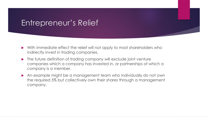#### Entrepreneur's Relief

- With immediate effect the relief will not apply to most shareholders who indirectly invest in trading companies.
- $\blacktriangleright$  The future definition of trading company will exclude joint venture companies which a company has invested in, or partnerships of which a company is a member.
- An example might be a management team who individually do not own the required 5% but collectively own their shares through a management company.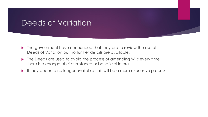### Deeds of Variation

- ▶ The government have announced that they are to review the use of Deeds of Variation but no further details are available.
- ▶ The Deeds are used to avoid the process of amending Wills every time there is a change of circumstance or beneficial interest.
- If they become no longer available, this will be a more expensive process.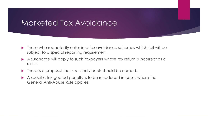## Marketed Tax Avoidance

- ▶ Those who repeatedly enter into tax avoidance schemes which fail will be subject to a special reporting requirement.
- A surcharge will apply to such taxpayers whose tax return is incorrect as a result.
- **There is a proposal that such individuals should be named.**
- A specific tax geared penalty is to be introduced in cases where the General Anti-Abuse Rule applies.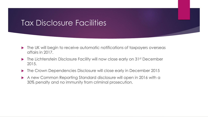## Tax Disclosure Facilities

- ▶ The UK will begin to receive automatic notifications of taxpayers overseas affairs in 2017.
- $\blacktriangleright$  The Lichtenstein Disclosure Facility will now close early on 31st December 2015.
- ▶ The Crown Dependencies Disclosure will close early in December 2015
- A new Common Reporting Standard disclosure will open in 2016 with a 30% penalty and no immunity from criminal prosecution.